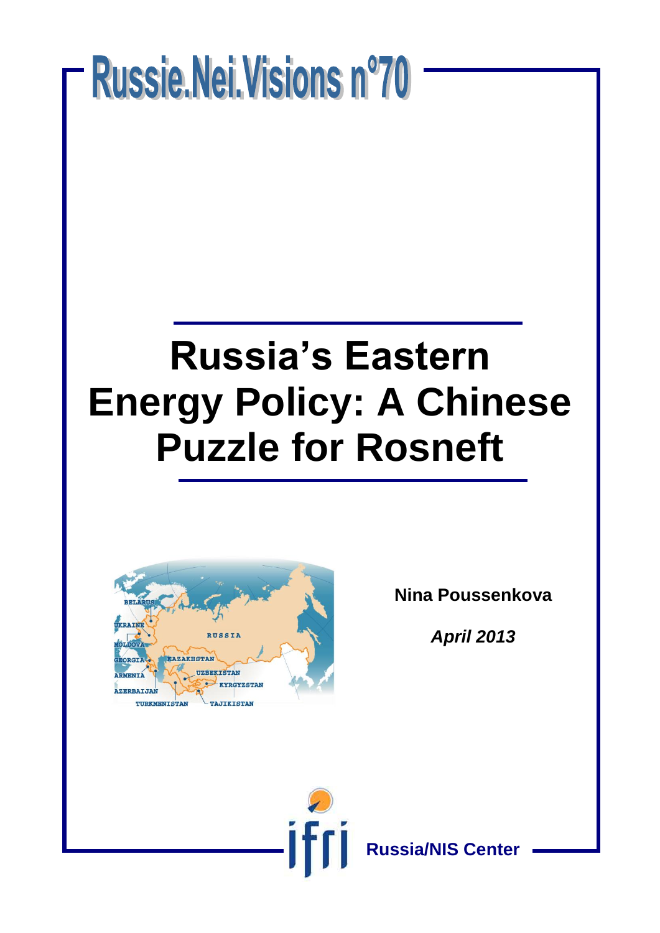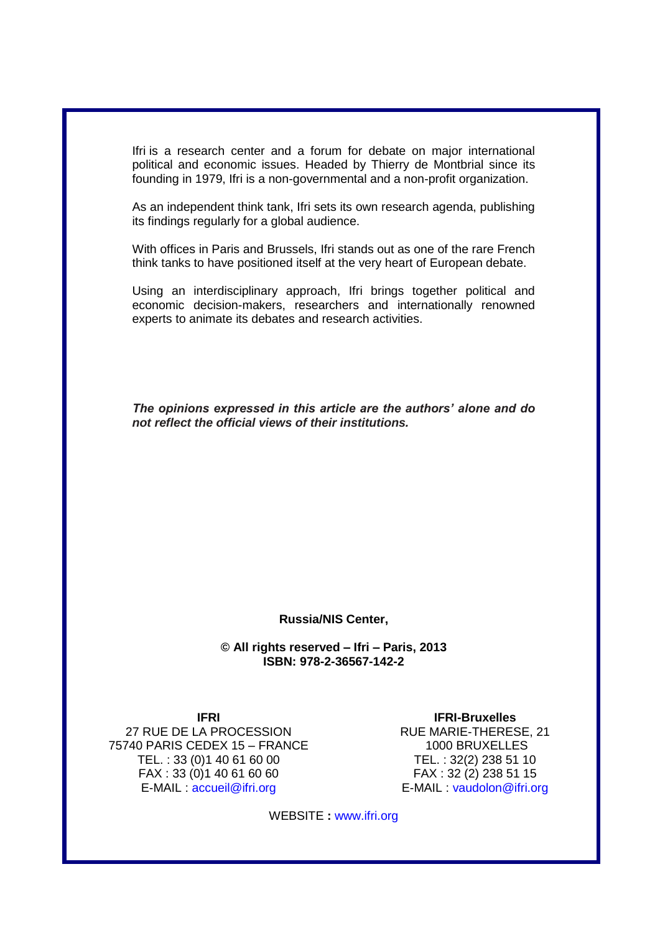Ifri is a research center and a forum for debate on major international political and economic issues. Headed by Thierry de Montbrial since its founding in 1979, Ifri is a non-governmental and a non-profit organization.

As an independent think tank, Ifri sets its own research agenda, publishing its findings regularly for a global audience.

With offices in Paris and Brussels, Ifri stands out as one of the rare French think tanks to have positioned itself at the very heart of European debate.

Using an interdisciplinary approach, Ifri brings together political and economic decision-makers, researchers and internationally renowned experts to animate its debates and research activities.

*The opinions expressed in this article are the authors' alone and do not reflect the official views of their institutions.*

#### **Russia/NIS Center,**

**© All rights reserved – Ifri – Paris, 2013 ISBN: 978-2-36567-142-2**

**IFRI**  27 RUE DE LA PROCESSION 75740 PARIS CEDEX 15 – FRANCE TEL. : 33 (0)1 40 61 60 00 FAX : 33 (0)1 40 61 60 60 E-MAIL : [accueil@ifri.org](mailto:accueil@ifri.org)

**IFRI-Bruxelles** RUE MARIE-THERESE, 21 1000 BRUXELLES TEL. : 32(2) 238 51 10 FAX : 32 (2) 238 51 15 E-MAIL : [vaudolon@ifri.org](mailto:vaudolon@ifri.org)

WEBSITE **:** www.ifri.org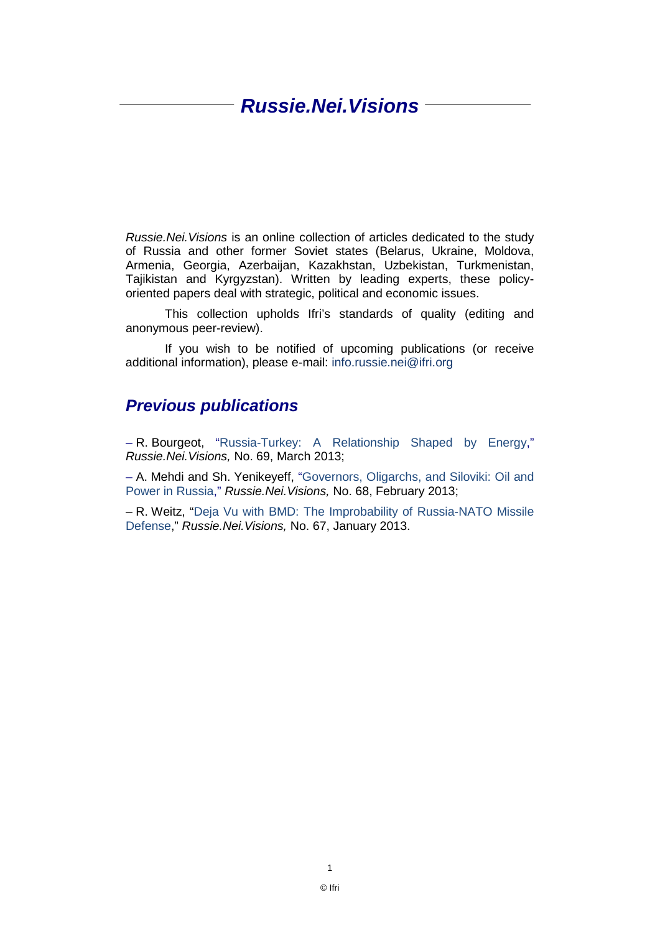## *Russie.Nei.Visions*

*Russie.Nei.Visions* is an online collection of articles dedicated to the study of Russia and other former Soviet states (Belarus, Ukraine, Moldova, Armenia, Georgia, Azerbaijan, Kazakhstan, Uzbekistan, Turkmenistan, Tajikistan and Kyrgyzstan). Written by leading experts, these policyoriented papers deal with strategic, political and economic issues.

This collection upholds Ifri's standards of quality (editing and anonymous peer-review).

If you wish to be notified of upcoming publications (or receive additional information), please e-mail: info.russie.nei@ifri.org

#### *Previous publications*

– R. Bourgeot, ["Russia-Turkey: A Relationship Shaped by Energy,](http://www.ifri.org/downloads/ifriremibourgeotrussiaturkeyengmarch2013.pdf)" *Russie.Nei.Visions,* No. 69, March 2013;

– A. Mehdi and Sh. Yenikeyeff, ["Governors, Oligarchs, and Siloviki: Oil and](http://www.ifri.org/?page=contribution-detail&id=7521&id_provenance=97)  [Power in Russia,](http://www.ifri.org/?page=contribution-detail&id=7521&id_provenance=97)" *Russie.Nei.Visions,* No. 68, February 2013;

– R. Weitz, ["Deja Vu with BMD: The Improbability of Russia-NATO Missile](http://www.ifri.org/?page=contribution-detail&id=7501&id_provenance=97)  [Defense,](http://www.ifri.org/?page=contribution-detail&id=7501&id_provenance=97)" *Russie.Nei.Visions,* No. 67, January 2013.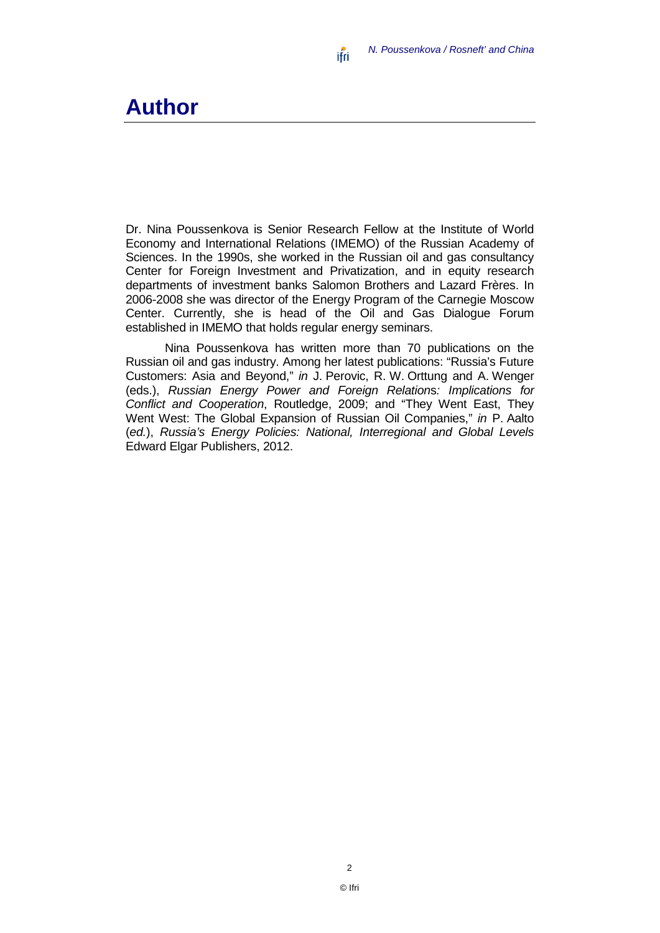*N. Poussenkova / Rosneft' and China* ifri

## **Author**

Dr. Nina Poussenkova is Senior Research Fellow at the Institute of World Economy and International Relations (IMEMO) of the Russian Academy of Sciences. In the 1990s, she worked in the Russian oil and gas consultancy Center for Foreign Investment and Privatization, and in equity research departments of investment banks Salomon Brothers and Lazard Frères. In 2006-2008 she was director of the Energy Program of the Carnegie Moscow Center. Currently, she is head of the Oil and Gas Dialogue Forum established in IMEMO that holds regular energy seminars.

Nina Poussenkova has written more than 70 publications on the Russian oil and gas industry. Among her latest publications: "Russia's Future Customers: Asia and Beyond," *in* J. Perovic, R. W. Orttung and A. Wenger (eds.), *Russian Energy Power and Foreign Relation*s*: Implications for Conflict and Cooperation*, Routledge, 2009; and "They Went East, They Went West: The Global Expansion of Russian Oil Companies," *in* P. Aalto (*ed.*), *Russia's Energy Policies: National, Interregional and Global Levels*  Edward Elgar Publishers, 2012.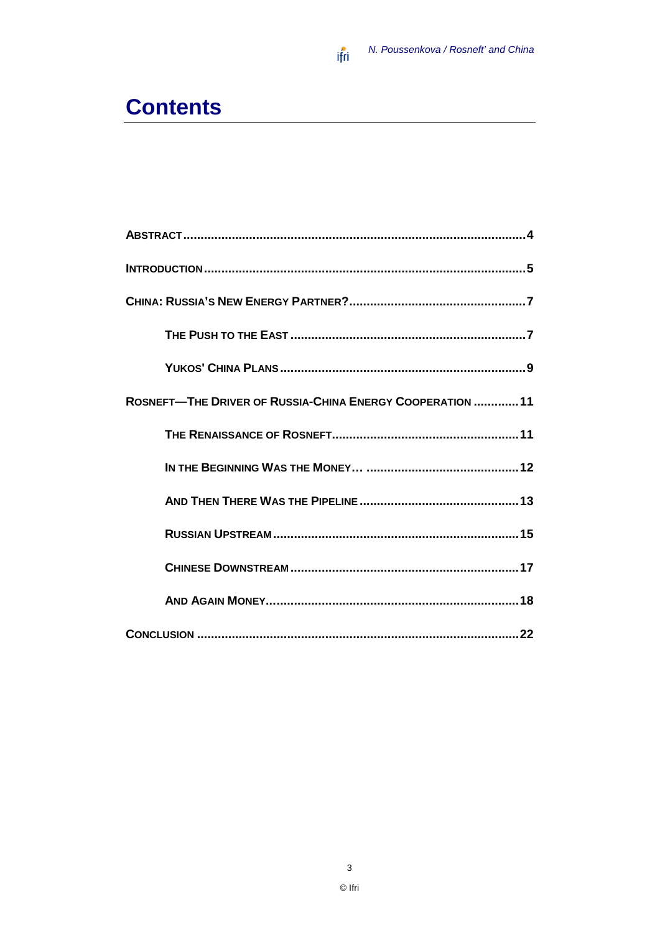

# **Contents**

| ROSNEFT-THE DRIVER OF RUSSIA-CHINA ENERGY COOPERATION 11 |
|----------------------------------------------------------|
|                                                          |
|                                                          |
|                                                          |
|                                                          |
|                                                          |
|                                                          |
|                                                          |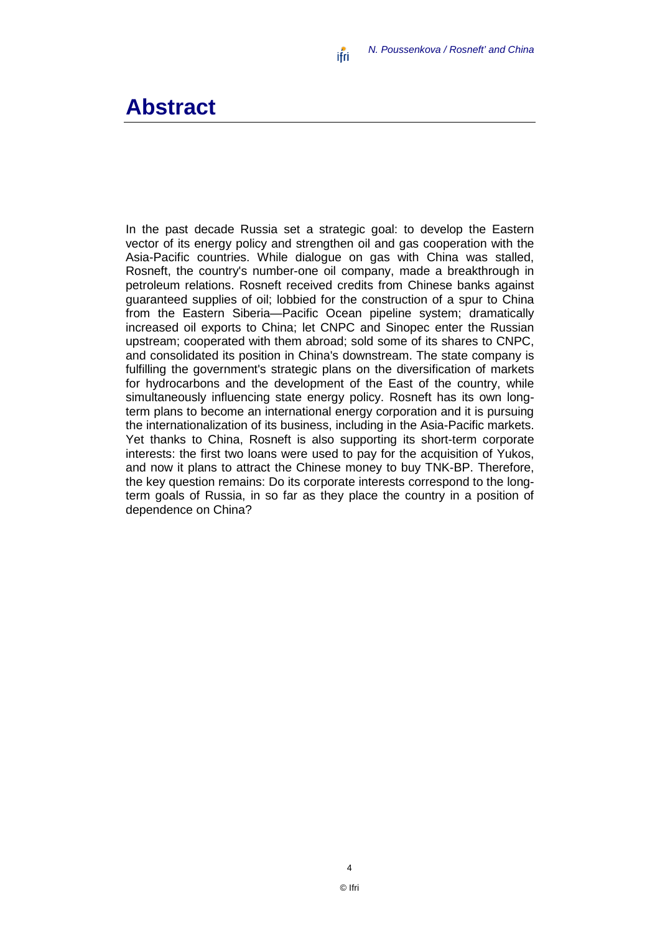### <span id="page-5-0"></span>**Abstract**

In the past decade Russia set a strategic goal: to develop the Eastern vector of its energy policy and strengthen oil and gas cooperation with the Asia-Pacific countries. While dialogue on gas with China was stalled, Rosneft, the country's number-one oil company, made a breakthrough in petroleum relations. Rosneft received credits from Chinese banks against guaranteed supplies of oil; lobbied for the construction of a spur to China from the Eastern Siberia—Pacific Ocean pipeline system; dramatically increased oil exports to China; let CNPC and Sinopec enter the Russian upstream; cooperated with them abroad; sold some of its shares to CNPC, and consolidated its position in China's downstream. The state company is fulfilling the government's strategic plans on the diversification of markets for hydrocarbons and the development of the East of the country, while simultaneously influencing state energy policy. Rosneft has its own longterm plans to become an international energy corporation and it is pursuing the internationalization of its business, including in the Asia-Pacific markets. Yet thanks to China, Rosneft is also supporting its short-term corporate interests: the first two loans were used to pay for the acquisition of Yukos, and now it plans to attract the Chinese money to buy TNK-BP. Therefore, the key question remains: Do its corporate interests correspond to the longterm goals of Russia, in so far as they place the country in a position of dependence on China?

4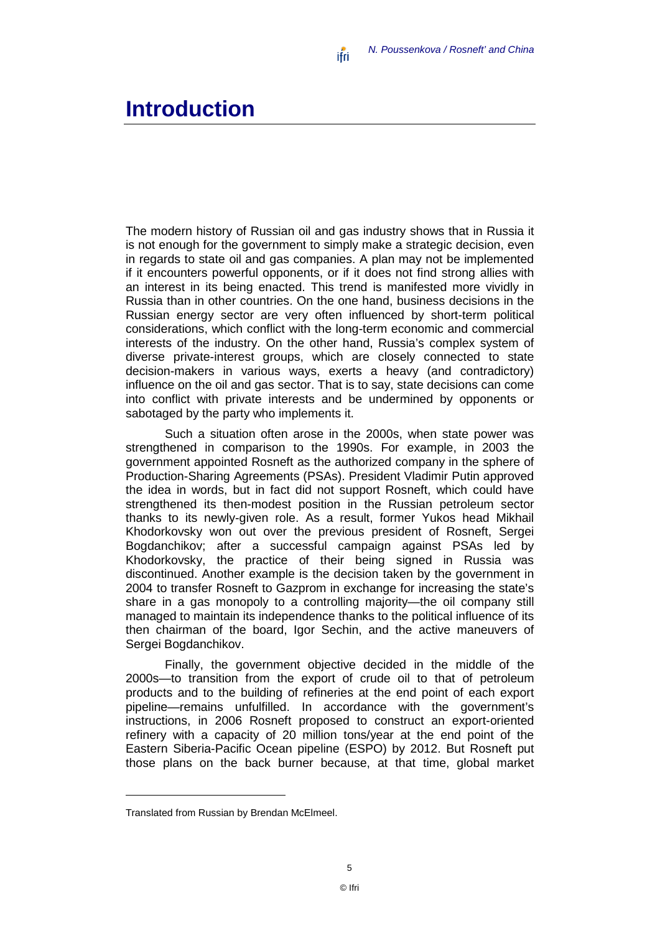### <span id="page-6-0"></span>**Introduction**

The modern history of Russian oil and gas industry shows that in Russia it is not enough for the government to simply make a strategic decision, even in regards to state oil and gas companies. A plan may not be implemented if it encounters powerful opponents, or if it does not find strong allies with an interest in its being enacted. This trend is manifested more vividly in Russia than in other countries. On the one hand, business decisions in the Russian energy sector are very often influenced by short-term political considerations, which conflict with the long-term economic and commercial interests of the industry. On the other hand, Russia's complex system of diverse private-interest groups, which are closely connected to state decision-makers in various ways, exerts a heavy (and contradictory) influence on the oil and gas sector. That is to say, state decisions can come into conflict with private interests and be undermined by opponents or sabotaged by the party who implements it.

Such a situation often arose in the 2000s, when state power was strengthened in comparison to the 1990s. For example, in 2003 the government appointed Rosneft as the authorized company in the sphere of Production-Sharing Agreements (PSAs). President Vladimir Putin approved the idea in words, but in fact did not support Rosneft, which could have strengthened its then-modest position in the Russian petroleum sector thanks to its newly-given role. As a result, former Yukos head Mikhail Khodorkovsky won out over the previous president of Rosneft, Sergei Bogdanchikov; after a successful campaign against PSAs led by Khodorkovsky, the practice of their being signed in Russia was discontinued. Another example is the decision taken by the government in 2004 to transfer Rosneft to Gazprom in exchange for increasing the state's share in a gas monopoly to a controlling majority—the oil company still managed to maintain its independence thanks to the political influence of its then chairman of the board, Igor Sechin, and the active maneuvers of Sergei Bogdanchikov.

Finally, the government objective decided in the middle of the 2000s—to transition from the export of crude oil to that of petroleum products and to the building of refineries at the end point of each export pipeline—remains unfulfilled. In accordance with the government's instructions, in 2006 Rosneft proposed to construct an export-oriented refinery with a capacity of 20 million tons/year at the end point of the Eastern Siberia-Pacific Ocean pipeline (ESPO) by 2012. But Rosneft put those plans on the back burner because, at that time, global market

<span id="page-6-1"></span>Translated from Russian by Brendan McElmeel.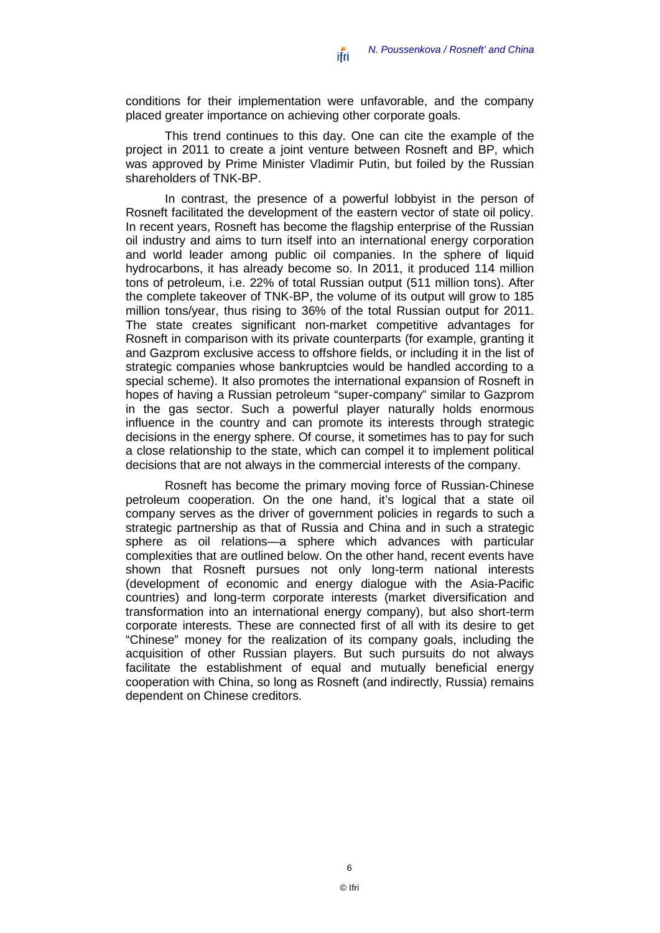conditions for their implementation were unfavorable, and the company placed greater importance on achieving other corporate goals.

This trend continues to this day. One can cite the example of the project in 2011 to create a joint venture between Rosneft and BP, which was approved by Prime Minister Vladimir Putin, but foiled by the Russian shareholders of TNK-BP.

In contrast, the presence of a powerful lobbyist in the person of Rosneft facilitated the development of the eastern vector of state oil policy. In recent years, Rosneft has become the flagship enterprise of the Russian oil industry and aims to turn itself into an international energy corporation and world leader among public oil companies. In the sphere of liquid hydrocarbons, it has already become so. In 2011, it produced 114 million tons of petroleum, i.e. 22% of total Russian output (511 million tons). After the complete takeover of TNK-BP, the volume of its output will grow to 185 million tons/year, thus rising to 36% of the total Russian output for 2011. The state creates significant non-market competitive advantages for Rosneft in comparison with its private counterparts (for example, granting it and Gazprom exclusive access to offshore fields, or including it in the list of strategic companies whose bankruptcies would be handled according to a special scheme). It also promotes the international expansion of Rosneft in hopes of having a Russian petroleum "super-company" similar to Gazprom in the gas sector. Such a powerful player naturally holds enormous influence in the country and can promote its interests through strategic decisions in the energy sphere. Of course, it sometimes has to pay for such a close relationship to the state, which can compel it to implement political decisions that are not always in the commercial interests of the company.

Rosneft has become the primary moving force of Russian-Chinese petroleum cooperation. On the one hand, it's logical that a state oil company serves as the driver of government policies in regards to such a strategic partnership as that of Russia and China and in such a strategic sphere as oil relations—a sphere which advances with particular complexities that are outlined below. On the other hand, recent events have shown that Rosneft pursues not only long-term national interests (development of economic and energy dialogue with the Asia-Pacific countries) and long-term corporate interests (market diversification and transformation into an international energy company), but also short-term corporate interests. These are connected first of all with its desire to get "Chinese" money for the realization of its company goals, including the acquisition of other Russian players. But such pursuits do not always facilitate the establishment of equal and mutually beneficial energy cooperation with China, so long as Rosneft (and indirectly, Russia) remains dependent on Chinese creditors.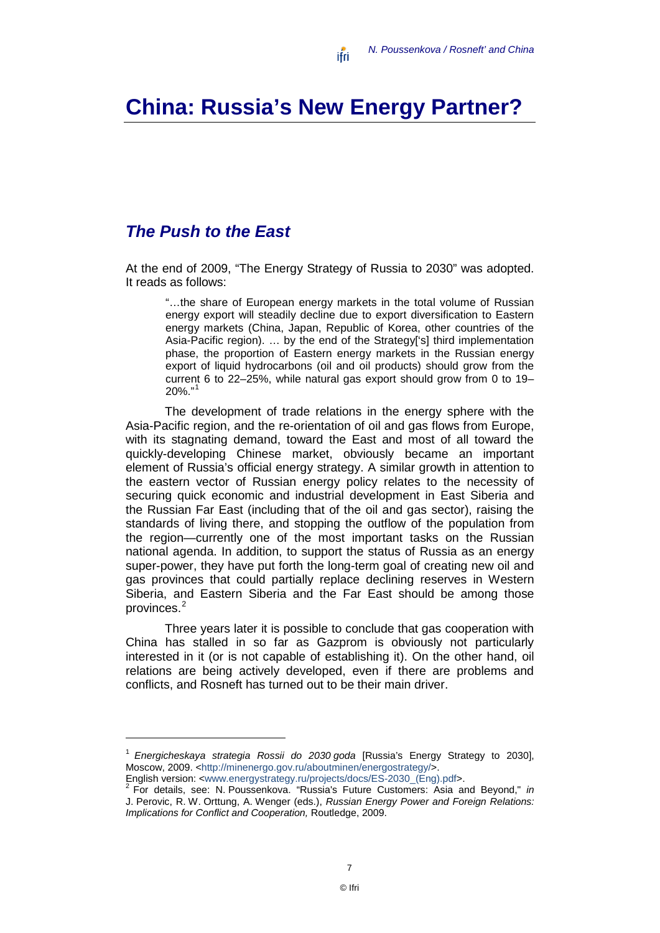# <span id="page-8-0"></span>**China: Russia's New Energy Partner?**

### <span id="page-8-1"></span>*The Push to the East*

At the end of 2009, "The Energy Strategy of Russia to 2030" was adopted. It reads as follows:

"…the share of European energy markets in the total volume of Russian energy export will steadily decline due to export diversification to Eastern energy markets (China, Japan, Republic of Korea, other countries of the Asia-Pacific region). … by the end of the Strategy['s] third implementation phase, the proportion of Eastern energy markets in the Russian energy export of liquid hydrocarbons (oil and oil products) should grow from the current 6 to 22–25%, while natural gas export should grow from 0 to 19– 20%."[1](#page-8-2)

The development of trade relations in the energy sphere with the Asia-Pacific region, and the re-orientation of oil and gas flows from Europe, with its stagnating demand, toward the East and most of all toward the quickly-developing Chinese market, obviously became an important element of Russia's official energy strategy. A similar growth in attention to the eastern vector of Russian energy policy relates to the necessity of securing quick economic and industrial development in East Siberia and the Russian Far East (including that of the oil and gas sector), raising the standards of living there, and stopping the outflow of the population from the region—currently one of the most important tasks on the Russian national agenda. In addition, to support the status of Russia as an energy super-power, they have put forth the long-term goal of creating new oil and gas provinces that could partially replace declining reserves in Western Siberia, and Eastern Siberia and the Far East should be among those provinces.<sup>[2](#page-8-3)</sup>

Three years later it is possible to conclude that gas cooperation with China has stalled in so far as Gazprom is obviously not particularly interested in it (or is not capable of establishing it). On the other hand, oil relations are being actively developed, even if there are problems and conflicts, and Rosneft has turned out to be their main driver.

<span id="page-8-3"></span>

<span id="page-8-2"></span><sup>1</sup> *Energicheskaya strategia Rossii do 2030 goda* [Russia's Energy Strategy to 2030], Moscow, 2009. [<http://minenergo.gov.ru/aboutminen/energostrategy/>](http://minenergo.gov.ru/aboutminen/energostrategy/). English version: <www.energystrategy.ru/projects/docs/ES-2030\_(Eng).pdf>. <sup>2</sup> For details, see: N. Poussenkova. "Russia's Future Customers: Asia and Beyond," *in*

J. Perovic, R. W. Orttung, A. Wenger (eds.), *Russian Energy Power and Foreign Relations: Implications for Conflict and Cooperation,* Routledge, 2009.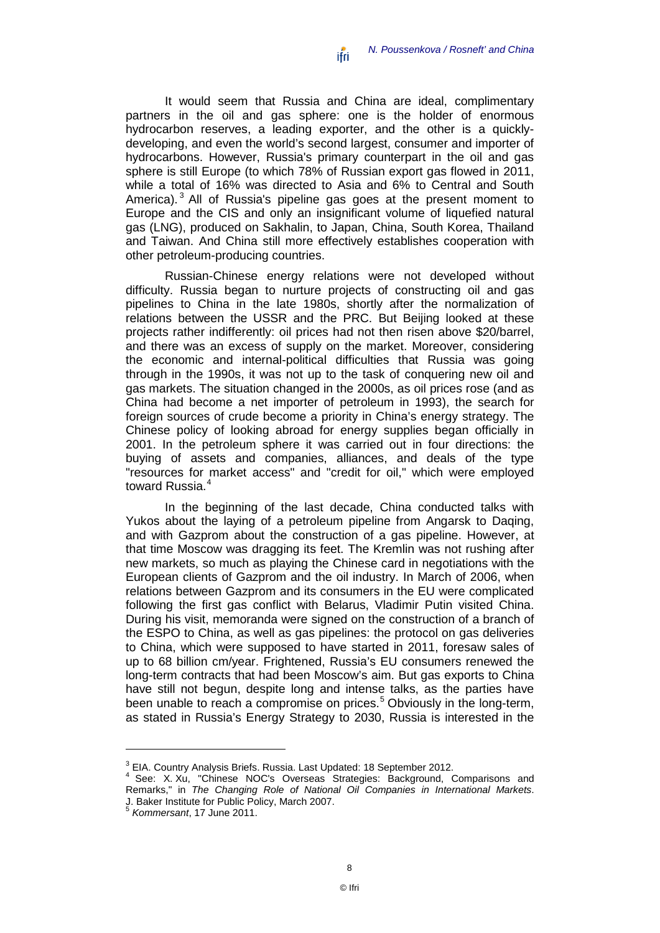It would seem that Russia and China are ideal, complimentary partners in the oil and gas sphere: one is the holder of enormous hydrocarbon reserves, a leading exporter, and the other is a quicklydeveloping, and even the world's second largest, consumer and importer of hydrocarbons. However, Russia's primary counterpart in the oil and gas sphere is still Europe (to which 78% of Russian export gas flowed in 2011, while a total of 16% was directed to Asia and 6% to Central and South America).<sup>[3](#page-9-0)</sup> All of Russia's pipeline gas goes at the present moment to Europe and the CIS and only an insignificant volume of liquefied natural gas (LNG), produced on Sakhalin, to Japan, China, South Korea, Thailand and Taiwan. And China still more effectively establishes cooperation with other petroleum-producing countries.

Russian-Chinese energy relations were not developed without difficulty. Russia began to nurture projects of constructing oil and gas pipelines to China in the late 1980s, shortly after the normalization of relations between the USSR and the PRC. But Beijing looked at these projects rather indifferently: oil prices had not then risen above \$20/barrel, and there was an excess of supply on the market. Moreover, considering the economic and internal-political difficulties that Russia was going through in the 1990s, it was not up to the task of conquering new oil and gas markets. The situation changed in the 2000s, as oil prices rose (and as China had become a net importer of petroleum in 1993), the search for foreign sources of crude become a priority in China's energy strategy. The Chinese policy of looking abroad for energy supplies began officially in 2001. In the petroleum sphere it was carried out in four directions: the buying of assets and companies, alliances, and deals of the type "resources for market access" and "credit for oil," which were employed toward Russia. [4](#page-9-1)

In the beginning of the last decade, China conducted talks with Yukos about the laying of a petroleum pipeline from Angarsk to Daqing, and with Gazprom about the construction of a gas pipeline. However, at that time Moscow was dragging its feet. The Kremlin was not rushing after new markets, so much as playing the Chinese card in negotiations with the European clients of Gazprom and the oil industry. In March of 2006, when relations between Gazprom and its consumers in the EU were complicated following the first gas conflict with Belarus, Vladimir Putin visited China. During his visit, memoranda were signed on the construction of a branch of the ESPO to China, as well as gas pipelines: the protocol on gas deliveries to China, which were supposed to have started in 2011, foresaw sales of up to 68 billion cm/year. Frightened, Russia's EU consumers renewed the long-term contracts that had been Moscow's aim. But gas exports to China have still not begun, despite long and intense talks, as the parties have been unable to reach a compromise on prices. [5](#page-9-2) Obviously in the long-term, as stated in Russia's Energy Strategy to 2030, Russia is interested in the

<sup>&</sup>lt;sup>3</sup> EIA. Country Analysis Briefs. Russia. Last Updated: 18 September 2012.

<span id="page-9-1"></span><span id="page-9-0"></span>See: X. Xu, "Chinese NOC's Overseas Strategies: Background, Comparisons and Remarks," in *The Changing Role of National Oil Companies in International Markets*. J. Baker Institute for Public Policy, March 2007. <sup>5</sup> *Kommersant*, 17 June 2011.

<span id="page-9-2"></span>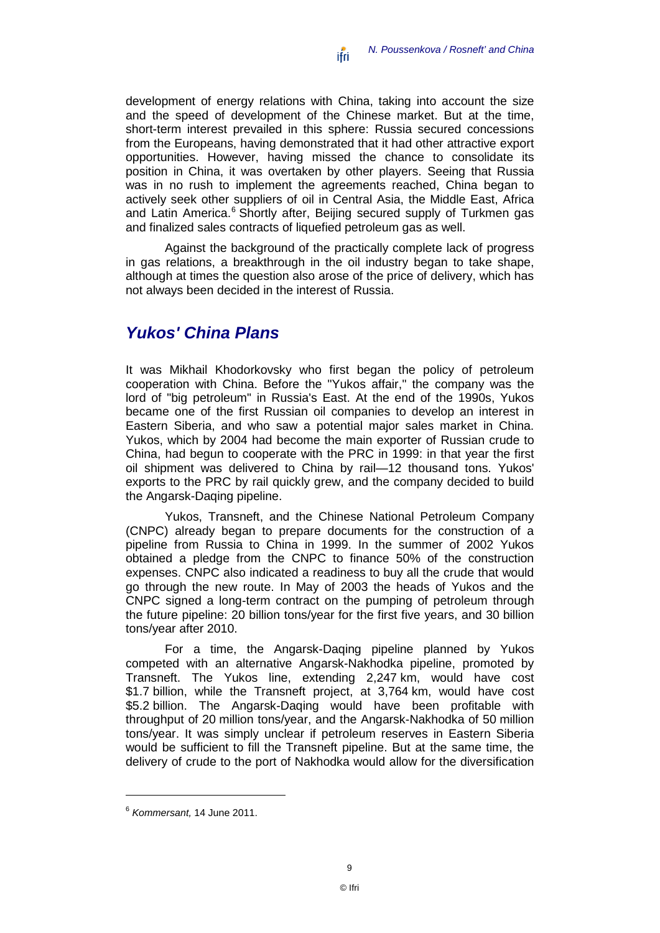development of energy relations with China, taking into account the size and the speed of development of the Chinese market. But at the time, short-term interest prevailed in this sphere: Russia secured concessions from the Europeans, having demonstrated that it had other attractive export opportunities. However, having missed the chance to consolidate its position in China, it was overtaken by other players. Seeing that Russia was in no rush to implement the agreements reached, China began to actively seek other suppliers of oil in Central Asia, the Middle East, Africa and Latin America.<sup>[6](#page-10-1)</sup> Shortly after, Beijing secured supply of Turkmen gas and finalized sales contracts of liquefied petroleum gas as well.

Against the background of the practically complete lack of progress in gas relations, a breakthrough in the oil industry began to take shape, although at times the question also arose of the price of delivery, which has not always been decided in the interest of Russia.

#### <span id="page-10-0"></span>*Yukos' China Plans*

It was Mikhail Khodorkovsky who first began the policy of petroleum cooperation with China. Before the "Yukos affair," the company was the lord of "big petroleum" in Russia's East. At the end of the 1990s, Yukos became one of the first Russian oil companies to develop an interest in Eastern Siberia, and who saw a potential major sales market in China. Yukos, which by 2004 had become the main exporter of Russian crude to China, had begun to cooperate with the PRC in 1999: in that year the first oil shipment was delivered to China by rail—12 thousand tons. Yukos' exports to the PRC by rail quickly grew, and the company decided to build the Angarsk-Daqing pipeline.

Yukos, Transneft, and the Chinese National Petroleum Company (CNPC) already began to prepare documents for the construction of a pipeline from Russia to China in 1999. In the summer of 2002 Yukos obtained a pledge from the CNPC to finance 50% of the construction expenses. CNPC also indicated a readiness to buy all the crude that would go through the new route. In May of 2003 the heads of Yukos and the CNPC signed a long-term contract on the pumping of petroleum through the future pipeline: 20 billion tons/year for the first five years, and 30 billion tons/year after 2010.

For a time, the Angarsk-Daqing pipeline planned by Yukos competed with an alternative Angarsk-Nakhodka pipeline, promoted by Transneft. The Yukos line, extending 2,247 km, would have cost \$1.7 billion, while the Transneft project, at 3,764 km, would have cost \$5.2 billion. The Angarsk-Daqing would have been profitable with throughput of 20 million tons/year, and the Angarsk-Nakhodka of 50 million tons/year. It was simply unclear if petroleum reserves in Eastern Siberia would be sufficient to fill the Transneft pipeline. But at the same time, the delivery of crude to the port of Nakhodka would allow for the diversification

<span id="page-10-1"></span><sup>6</sup> *Kommersant,* 14 June 2011.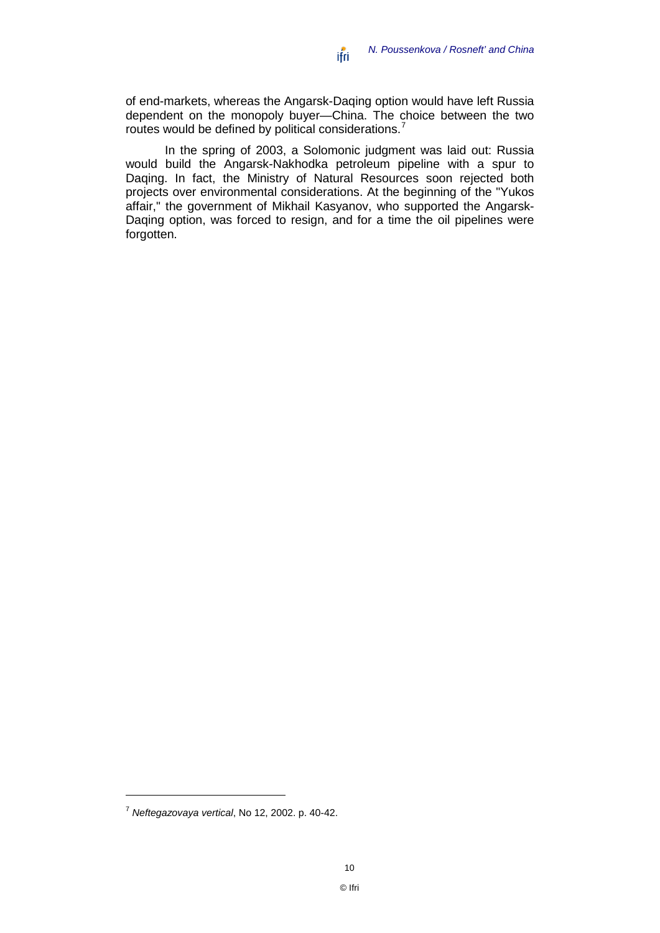of end-markets, whereas the Angarsk-Daqing option would have left Russia dependent on the monopoly buyer—China. The choice between the two routes would be defined by political considerations.<sup>[7](#page-11-0)</sup>

In the spring of 2003, a Solomonic judgment was laid out: Russia would build the Angarsk-Nakhodka petroleum pipeline with a spur to Daqing. In fact, the Ministry of Natural Resources soon rejected both projects over environmental considerations. At the beginning of the "Yukos affair," the government of Mikhail Kasyanov, who supported the Angarsk-Daqing option, was forced to resign, and for a time the oil pipelines were forgotten.

<span id="page-11-0"></span><sup>7</sup> *Neftegazovaya vertical*, No 12, 2002. p. 40-42.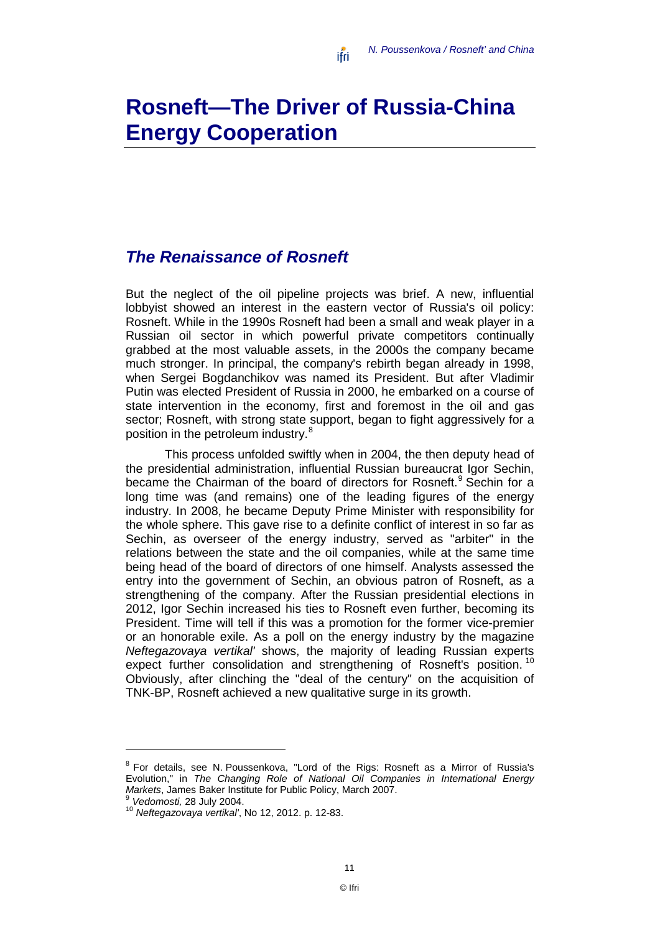# <span id="page-12-0"></span>**Rosneft—The Driver of Russia-China Energy Cooperation**

#### <span id="page-12-1"></span>*The Renaissance of Rosneft*

But the neglect of the oil pipeline projects was brief. A new, influential lobbyist showed an interest in the eastern vector of Russia's oil policy: Rosneft. While in the 1990s Rosneft had been a small and weak player in a Russian oil sector in which powerful private competitors continually grabbed at the most valuable assets, in the 2000s the company became much stronger. In principal, the company's rebirth began already in 1998, when Sergei Bogdanchikov was named its President. But after Vladimir Putin was elected President of Russia in 2000, he embarked on a course of state intervention in the economy, first and foremost in the oil and gas sector; Rosneft, with strong state support, began to fight aggressively for a position in the petroleum industry.<sup>[8](#page-12-2)</sup>

This process unfolded swiftly when in 2004, the then deputy head of the presidential administration, influential Russian bureaucrat Igor Sechin, became the Chairman of the board of directors for Rosneft.<sup>[9](#page-12-3)</sup> Sechin for a long time was (and remains) one of the leading figures of the energy industry. In 2008, he became Deputy Prime Minister with responsibility for the whole sphere. This gave rise to a definite conflict of interest in so far as Sechin, as overseer of the energy industry, served as "arbiter" in the relations between the state and the oil companies, while at the same time being head of the board of directors of one himself. Analysts assessed the entry into the government of Sechin, an obvious patron of Rosneft, as a strengthening of the company. After the Russian presidential elections in 2012, Igor Sechin increased his ties to Rosneft even further, becoming its President. Time will tell if this was a promotion for the former vice-premier or an honorable exile. As a poll on the energy industry by the magazine *Neftegazovaya vertikal'* shows, the majority of leading Russian experts expect further consolidation and strengthening of Rosneft's position.<sup>[10](#page-12-4)</sup> Obviously, after clinching the "deal of the century" on the acquisition of TNK-BP, Rosneft achieved a new qualitative surge in its growth.

<span id="page-12-2"></span><sup>8</sup> For details, see N. Poussenkova, "Lord of the Rigs: Rosneft as a Mirror of Russia's Evolution," in *The Changing Role of National Oil Companies in International Energy Markets*, James Baker Institute for Public Policy, March 2007.

<span id="page-12-4"></span><span id="page-12-3"></span><sup>9</sup> *Vedomosti,* <sup>28</sup> July 2004. <sup>10</sup> *Neftegazovaya vertikal'*, No 12, 2012. p. 12-83.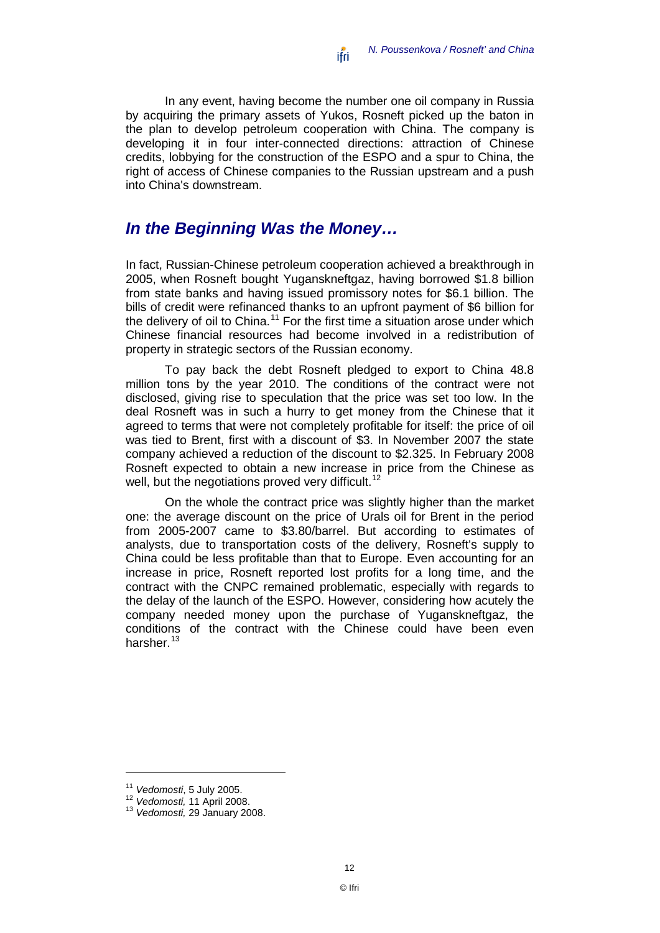In any event, having become the number one oil company in Russia by acquiring the primary assets of Yukos, Rosneft picked up the baton in the plan to develop petroleum cooperation with China. The company is developing it in four inter-connected directions: attraction of Chinese credits, lobbying for the construction of the ESPO and a spur to China, the right of access of Chinese companies to the Russian upstream and a push into China's downstream.

### <span id="page-13-0"></span>*In the Beginning Was the Money…*

In fact, Russian-Chinese petroleum cooperation achieved a breakthrough in 2005, when Rosneft bought Yuganskneftgaz, having borrowed \$1.8 billion from state banks and having issued promissory notes for \$6.1 billion. The bills of credit were refinanced thanks to an upfront payment of \$6 billion for the delivery of oil to China.<sup>[11](#page-13-1)</sup> For the first time a situation arose under which Chinese financial resources had become involved in a redistribution of property in strategic sectors of the Russian economy.

To pay back the debt Rosneft pledged to export to China 48.8 million tons by the year 2010. The conditions of the contract were not disclosed, giving rise to speculation that the price was set too low. In the deal Rosneft was in such a hurry to get money from the Chinese that it agreed to terms that were not completely profitable for itself: the price of oil was tied to Brent, first with a discount of \$3. In November 2007 the state company achieved a reduction of the discount to \$2.325. In February 2008 Rosneft expected to obtain a new increase in price from the Chinese as well, but the negotiations proved very difficult.<sup>[12](#page-13-2)</sup>

On the whole the contract price was slightly higher than the market one: the average discount on the price of Urals oil for Brent in the period from 2005-2007 came to \$3.80/barrel. But according to estimates of analysts, due to transportation costs of the delivery, Rosneft's supply to China could be less profitable than that to Europe. Even accounting for an increase in price, Rosneft reported lost profits for a long time, and the contract with the CNPC remained problematic, especially with regards to the delay of the launch of the ESPO. However, considering how acutely the company needed money upon the purchase of Yuganskneftgaz, the conditions of the contract with the Chinese could have been even harsher.<sup>[13](#page-13-3)</sup>

<span id="page-13-3"></span>

<span id="page-13-2"></span><span id="page-13-1"></span><sup>11</sup> *Vedomosti*, 5 July 2005. <sup>12</sup> *Vedomosti,* <sup>11</sup> April 2008. <sup>13</sup> *Vedomosti,* <sup>29</sup> January 2008.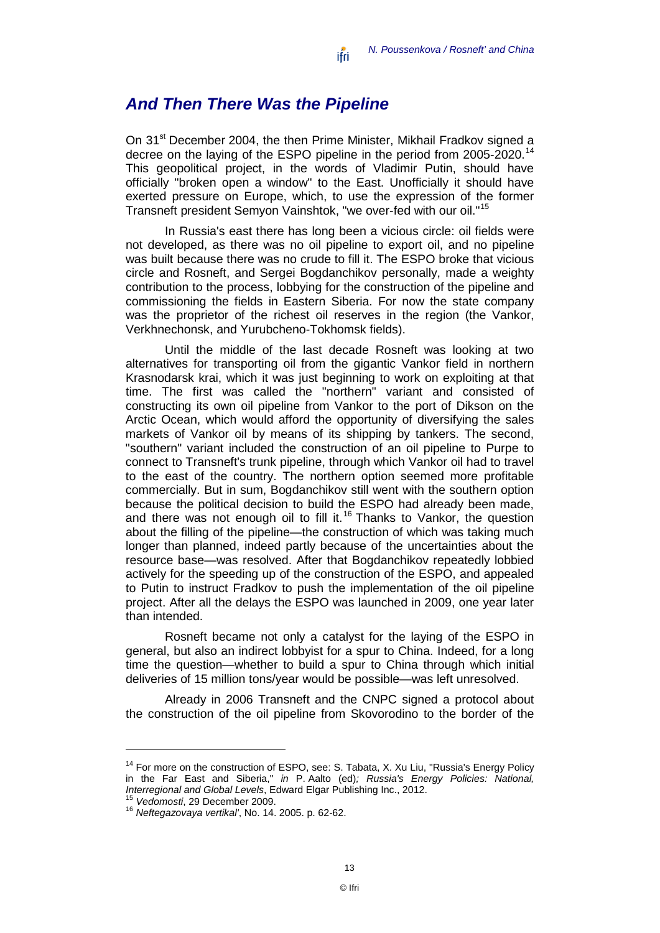#### <span id="page-14-0"></span>*And Then There Was the Pipeline*

On 31<sup>st</sup> December 2004, the then Prime Minister, Mikhail Fradkov signed a decree on the laying of the ESPO pipeline in the period from 2005-2020.<sup>[14](#page-14-1)</sup> This geopolitical project, in the words of Vladimir Putin, should have officially "broken open a window" to the East. Unofficially it should have exerted pressure on Europe, which, to use the expression of the former Transneft president Semyon Vainshtok, "we over-fed with our oil."[15](#page-14-2)

In Russia's east there has long been a vicious circle: oil fields were not developed, as there was no oil pipeline to export oil, and no pipeline was built because there was no crude to fill it. The ESPO broke that vicious circle and Rosneft, and Sergei Bogdanchikov personally, made a weighty contribution to the process, lobbying for the construction of the pipeline and commissioning the fields in Eastern Siberia. For now the state company was the proprietor of the richest oil reserves in the region (the Vankor, Verkhnechonsk, and Yurubcheno-Tokhomsk fields).

Until the middle of the last decade Rosneft was looking at two alternatives for transporting oil from the gigantic Vankor field in northern Krasnodarsk krai, which it was just beginning to work on exploiting at that time. The first was called the "northern" variant and consisted of constructing its own oil pipeline from Vankor to the port of Dikson on the Arctic Ocean, which would afford the opportunity of diversifying the sales markets of Vankor oil by means of its shipping by tankers. The second, "southern" variant included the construction of an oil pipeline to Purpe to connect to Transneft's trunk pipeline, through which Vankor oil had to travel to the east of the country. The northern option seemed more profitable commercially. But in sum, Bogdanchikov still went with the southern option because the political decision to build the ESPO had already been made, and there was not enough oil to fill it.<sup>[16](#page-14-3)</sup> Thanks to Vankor, the question about the filling of the pipeline—the construction of which was taking much longer than planned, indeed partly because of the uncertainties about the resource base—was resolved. After that Bogdanchikov repeatedly lobbied actively for the speeding up of the construction of the ESPO, and appealed to Putin to instruct Fradkov to push the implementation of the oil pipeline project. After all the delays the ESPO was launched in 2009, one year later than intended.

Rosneft became not only a catalyst for the laying of the ESPO in general, but also an indirect lobbyist for a spur to China. Indeed, for a long time the question—whether to build a spur to China through which initial deliveries of 15 million tons/year would be possible—was left unresolved.

Already in 2006 Transneft and the CNPC signed a protocol about the construction of the oil pipeline from Skovorodino to the border of the

<span id="page-14-1"></span><sup>&</sup>lt;sup>14</sup> For more on the construction of ESPO, see: S. Tabata, X. Xu Liu, "Russia's Energy Policy in the Far East and Siberia," *in* P. Aalto (ed)*; Russia's Energy Policies: National, Interregional and Global Levels*, Edward Elgar Publishing Inc., 2012. <sup>15</sup> *Vedomosti*, 29 December 2009. <sup>16</sup> *Neftegazovaya vertikal'*, No. 14. 2005. p. 62-62.

<span id="page-14-3"></span><span id="page-14-2"></span>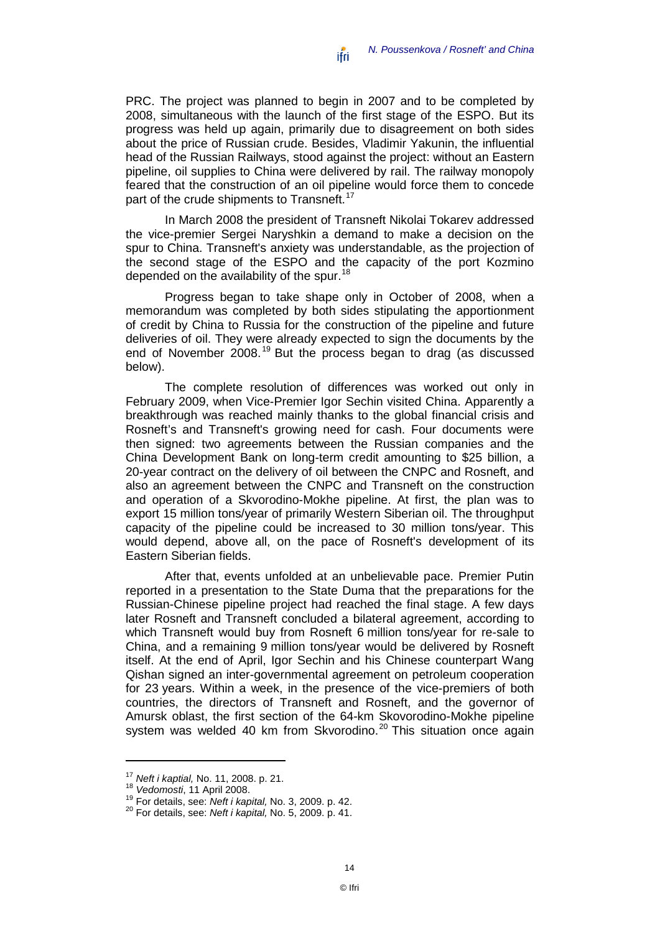PRC. The project was planned to begin in 2007 and to be completed by 2008, simultaneous with the launch of the first stage of the ESPO. But its progress was held up again, primarily due to disagreement on both sides about the price of Russian crude. Besides, Vladimir Yakunin, the influential head of the Russian Railways, stood against the project: without an Eastern pipeline, oil supplies to China were delivered by rail. The railway monopoly feared that the construction of an oil pipeline would force them to concede part of the crude shipments to Transneft.<sup>[17](#page-15-0)</sup>

In March 2008 the president of Transneft Nikolai Tokarev addressed the vice-premier Sergei Naryshkin a demand to make a decision on the spur to China. Transneft's anxiety was understandable, as the projection of the second stage of the ESPO and the capacity of the port Kozmino depended on the availability of the spur.<sup>[18](#page-15-1)</sup>

Progress began to take shape only in October of 2008, when a memorandum was completed by both sides stipulating the apportionment of credit by China to Russia for the construction of the pipeline and future deliveries of oil. They were already expected to sign the documents by the end of November 2008.<sup>[19](#page-15-2)</sup> But the process began to drag (as discussed below).

The complete resolution of differences was worked out only in February 2009, when Vice-Premier Igor Sechin visited China. Apparently a breakthrough was reached mainly thanks to the global financial crisis and Rosneft's and Transneft's growing need for cash. Four documents were then signed: two agreements between the Russian companies and the China Development Bank on long-term credit amounting to \$25 billion, a 20-year contract on the delivery of oil between the CNPC and Rosneft, and also an agreement between the CNPC and Transneft on the construction and operation of a Skvorodino-Mokhe pipeline. At first, the plan was to export 15 million tons/year of primarily Western Siberian oil. The throughput capacity of the pipeline could be increased to 30 million tons/year. This would depend, above all, on the pace of Rosneft's development of its Eastern Siberian fields.

After that, events unfolded at an unbelievable pace. Premier Putin reported in a presentation to the State Duma that the preparations for the Russian-Chinese pipeline project had reached the final stage. A few days later Rosneft and Transneft concluded a bilateral agreement, according to which Transneft would buy from Rosneft 6 million tons/year for re-sale to China, and a remaining 9 million tons/year would be delivered by Rosneft itself. At the end of April, Igor Sechin and his Chinese counterpart Wang Qishan signed an inter-governmental agreement on petroleum cooperation for 23 years. Within a week, in the presence of the vice-premiers of both countries, the directors of Transneft and Rosneft, and the governor of Amursk oblast, the first section of the 64-km Skovorodino-Mokhe pipeline system was welded 40 km from Skvorodino.<sup>[20](#page-15-3)</sup> This situation once again

<span id="page-15-0"></span><sup>17</sup> *Neft i kaptial,* No. 11, 2008. p. 21.

<span id="page-15-1"></span>

<span id="page-15-2"></span><sup>18</sup> *Vedomosti*, 11 April 2008. <sup>19</sup> For details, see: *Neft i kapital,* No. 3, 2009. p. 42. <sup>20</sup> For details, see: *Neft i kapital,* No. 5, 2009. p. 41.

<span id="page-15-3"></span>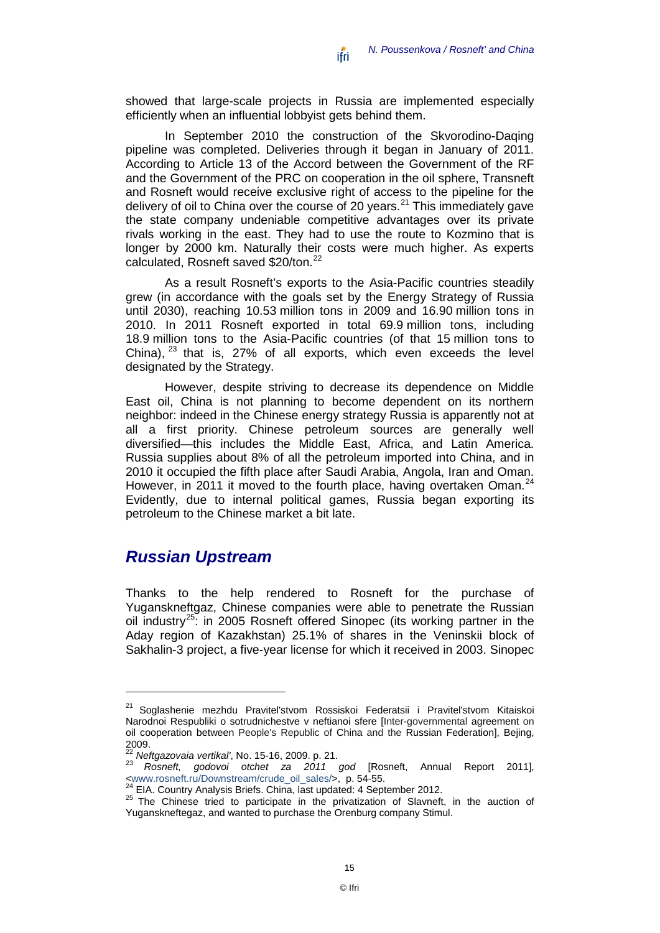showed that large-scale projects in Russia are implemented especially efficiently when an influential lobbyist gets behind them.

In September 2010 the construction of the Skvorodino-Daqing pipeline was completed. Deliveries through it began in January of 2011. According to Article 13 of the Accord between the Government of the RF and the Government of the PRC on cooperation in the oil sphere, Transneft and Rosneft would receive exclusive right of access to the pipeline for the delivery of oil to China over the course of 20 years.<sup>[21](#page-16-1)</sup> This immediately gave the state company undeniable competitive advantages over its private rivals working in the east. They had to use the route to Kozmino that is longer by 2000 km. Naturally their costs were much higher. As experts calculated, Rosneft saved \$20/ton.<sup>[22](#page-16-2)</sup>

As a result Rosneft's exports to the Asia-Pacific countries steadily grew (in accordance with the goals set by the Energy Strategy of Russia until 2030), reaching 10.53 million tons in 2009 and 16.90 million tons in 2010. In 2011 Rosneft exported in total 69.9 million tons, including 18.9 million tons to the Asia-Pacific countries (of that 15 million tons to China),  $^{23}$  $^{23}$  $^{23}$  that is, 27% of all exports, which even exceeds the level designated by the Strategy.

However, despite striving to decrease its dependence on Middle East oil, China is not planning to become dependent on its northern neighbor: indeed in the Chinese energy strategy Russia is apparently not at all a first priority. Chinese petroleum sources are generally well diversified—this includes the Middle East, Africa, and Latin America. Russia supplies about 8% of all the petroleum imported into China, and in 2010 it occupied the fifth place after Saudi Arabia, Angola, Iran and Oman. However, in 2011 it moved to the fourth place, having overtaken Oman.<sup>[24](#page-16-4)</sup> Evidently, due to internal political games, Russia began exporting its petroleum to the Chinese market a bit late.

#### <span id="page-16-0"></span>*Russian Upstream*

 $\overline{a}$ 

Thanks to the help rendered to Rosneft for the purchase of Yuganskneftgaz, Chinese companies were able to penetrate the Russian oil industry<sup>[25](#page-16-5)</sup>: in 2005 Rosneft offered Sinopec (its working partner in the Aday region of Kazakhstan) 25.1% of shares in the Veninskii block of Sakhalin-3 project, a five-year license for which it received in 2003. Sinopec

<span id="page-16-1"></span><sup>&</sup>lt;sup>21</sup> Soglashenie mezhdu Pravitel'stvom Rossiskoi Federatsii i Pravitel'stvom Kitaiskoi Narodnoi Respubliki o sotrudnichestve v neftianoi sfere [Inter-governmental agreement on oil cooperation between People's Republic of China and the Russian Federation], Bejing, 2009.<br><sup>22</sup> Neftgazovaja vertikal', No. 15-16, 2009. p. 21.<br><sup>23</sup> Despett a sedevoj, etebet 79, 2011.

<span id="page-16-3"></span><span id="page-16-2"></span><sup>&</sup>lt;sup>22</sup> Neftgazovaia vertikal', No. 15-16, 2009. p. 21.<br><sup>23</sup> Rosneft, godovoi otchet za 2011 god [Rosneft, Annual Report 2011],

<span id="page-16-5"></span>

<span id="page-16-4"></span>[<sup>&</sup>lt;www.rosneft.ru/Downstream/crude\\_oil\\_sales/>](http://www.rosneft.ru/Downstream/crude_oil_sales/), p. 54-55.<br><sup>24</sup> EIA. Country Analysis Briefs. China, last updated: 4 September 2012.<br><sup>25</sup> The Chinese tried to participate in the privatization of Slavneft, in the auction of Yuganskneftegaz, and wanted to purchase the Orenburg company Stimul.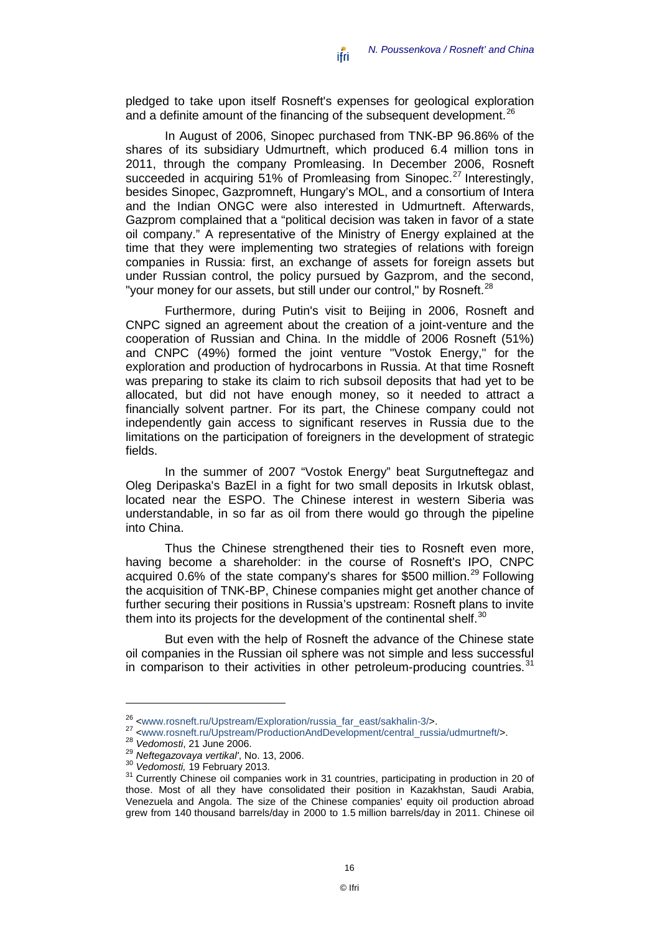pledged to take upon itself Rosneft's expenses for geological exploration and a definite amount of the financing of the subsequent development.<sup>[26](#page-17-0)</sup>

In August of 2006, Sinopec purchased from TNK-BP 96.86% of the shares of its subsidiary Udmurtneft, which produced 6.4 million tons in 2011, through the company Promleasing. In December 2006, Rosneft succeeded in acquiring 51% of Promleasing from Sinopec.<sup>[27](#page-17-1)</sup> Interestingly, besides Sinopec, Gazpromneft, Hungary's MOL, and a consortium of Intera and the Indian ONGC were also interested in Udmurtneft. Afterwards, Gazprom complained that a "political decision was taken in favor of a state oil company." A representative of the Ministry of Energy explained at the time that they were implementing two strategies of relations with foreign companies in Russia: first, an exchange of assets for foreign assets but under Russian control, the policy pursued by Gazprom, and the second, "your money for our assets, but still under our control," by Rosneft.<sup>[28](#page-17-2)</sup>

Furthermore, during Putin's visit to Beijing in 2006, Rosneft and CNPC signed an agreement about the creation of a joint-venture and the cooperation of Russian and China. In the middle of 2006 Rosneft (51%) and CNPC (49%) formed the joint venture "Vostok Energy," for the exploration and production of hydrocarbons in Russia. At that time Rosneft was preparing to stake its claim to rich subsoil deposits that had yet to be allocated, but did not have enough money, so it needed to attract a financially solvent partner. For its part, the Chinese company could not independently gain access to significant reserves in Russia due to the limitations on the participation of foreigners in the development of strategic fields.

In the summer of 2007 "Vostok Energy" beat Surgutneftegaz and Oleg Deripaska's BazEl in a fight for two small deposits in Irkutsk oblast, located near the ESPO. The Chinese interest in western Siberia was understandable, in so far as oil from there would go through the pipeline into China.

Thus the Chinese strengthened their ties to Rosneft even more, having become a shareholder: in the course of Rosneft's IPO, CNPC acquired 0.6% of the state company's shares for \$500 million.<sup>[29](#page-17-3)</sup> Following the acquisition of TNK-BP, Chinese companies might get another chance of further securing their positions in Russia's upstream: Rosneft plans to invite them into its projects for the development of the continental shelf.<sup>[30](#page-17-4)</sup>

But even with the help of Rosneft the advance of the Chinese state oil companies in the Russian oil sphere was not simple and less successful in comparison to their activities in other petroleum-producing countries. $31$ 

<span id="page-17-1"></span>

<span id="page-17-2"></span>

<span id="page-17-4"></span><span id="page-17-3"></span>

<span id="page-17-5"></span>

<span id="page-17-0"></span><sup>&</sup>lt;sup>26</sup> [<www.rosneft.ru/Upstream/Exploration/russia\\_far\\_east/sakhalin-3/>](http://www.rosneft.ru/Upstream/Exploration/russia_far_east/sakhalin-3/).<br>
<sup>27</sup> [<www.rosneft.ru/Upstream/ProductionAndDevelopment/central\\_russia/udmurtneft/>](http://www.rosneft.ru/Upstream/ProductionAndDevelopment/central_russia/udmurtneft/).<br>
<sup>28</sup> Vedomosti, 21 June 2006.<br>
<sup>29</sup> Neftegazovaya vertikal', No those. Most of all they have consolidated their position in Kazakhstan, Saudi Arabia, Venezuela and Angola. The size of the Chinese companies' equity oil production abroad grew from 140 thousand barrels/day in 2000 to 1.5 million barrels/day in 2011. Chinese oil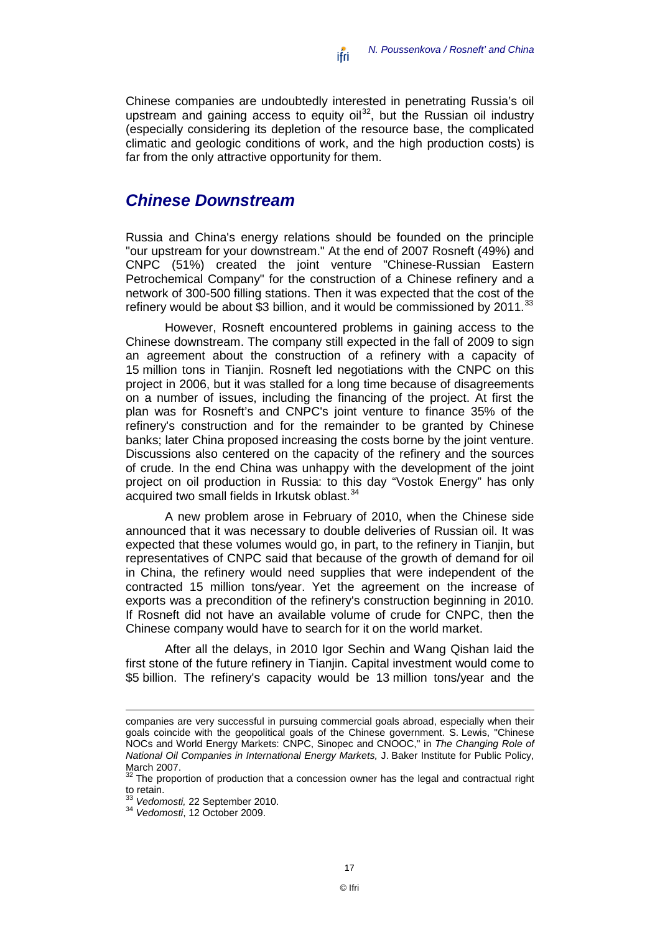Chinese companies are undoubtedly interested in penetrating Russia's oil upstream and gaining access to equity oil<sup>[32](#page-18-1)</sup>, but the Russian oil industry (especially considering its depletion of the resource base, the complicated climatic and geologic conditions of work, and the high production costs) is far from the only attractive opportunity for them.

#### <span id="page-18-0"></span>*Chinese Downstream*

Russia and China's energy relations should be founded on the principle "our upstream for your downstream." At the end of 2007 Rosneft (49%) and CNPC (51%) created the joint venture "Chinese-Russian Eastern Petrochemical Company" for the construction of a Chinese refinery and a network of 300-500 filling stations. Then it was expected that the cost of the refinery would be about \$3 billion, and it would be commissioned by  $2011$ .<sup>[33](#page-18-2)</sup>

However, Rosneft encountered problems in gaining access to the Chinese downstream. The company still expected in the fall of 2009 to sign an agreement about the construction of a refinery with a capacity of 15 million tons in Tianjin. Rosneft led negotiations with the CNPC on this project in 2006, but it was stalled for a long time because of disagreements on a number of issues, including the financing of the project. At first the plan was for Rosneft's and CNPC's joint venture to finance 35% of the refinery's construction and for the remainder to be granted by Chinese banks; later China proposed increasing the costs borne by the joint venture. Discussions also centered on the capacity of the refinery and the sources of crude. In the end China was unhappy with the development of the joint project on oil production in Russia: to this day "Vostok Energy" has only acquired two small fields in Irkutsk oblast.<sup>[34](#page-18-3)</sup>

A new problem arose in February of 2010, when the Chinese side announced that it was necessary to double deliveries of Russian oil. It was expected that these volumes would go, in part, to the refinery in Tianjin, but representatives of CNPC said that because of the growth of demand for oil in China, the refinery would need supplies that were independent of the contracted 15 million tons/year. Yet the agreement on the increase of exports was a precondition of the refinery's construction beginning in 2010. If Rosneft did not have an available volume of crude for CNPC, then the Chinese company would have to search for it on the world market.

After all the delays, in 2010 Igor Sechin and Wang Qishan laid the first stone of the future refinery in Tianjin. Capital investment would come to \$5 billion. The refinery's capacity would be 13 million tons/year and the

companies are very successful in pursuing commercial goals abroad, especially when their goals coincide with the geopolitical goals of the Chinese government. S. Lewis, "Chinese NOCs and World Energy Markets: CNPC, Sinopec and CNOOC," in *The Changing Role of National Oil Companies in International Energy Markets,* J. Baker Institute for Public Policy, March 2007.

<span id="page-18-1"></span>The proportion of production that a concession owner has the legal and contractual right to retain.<br><sup>33</sup> Vedomosti, 22 September 2010.

<span id="page-18-3"></span><span id="page-18-2"></span><sup>&</sup>lt;sup>34</sup> Vedomosti, 12 October 2009.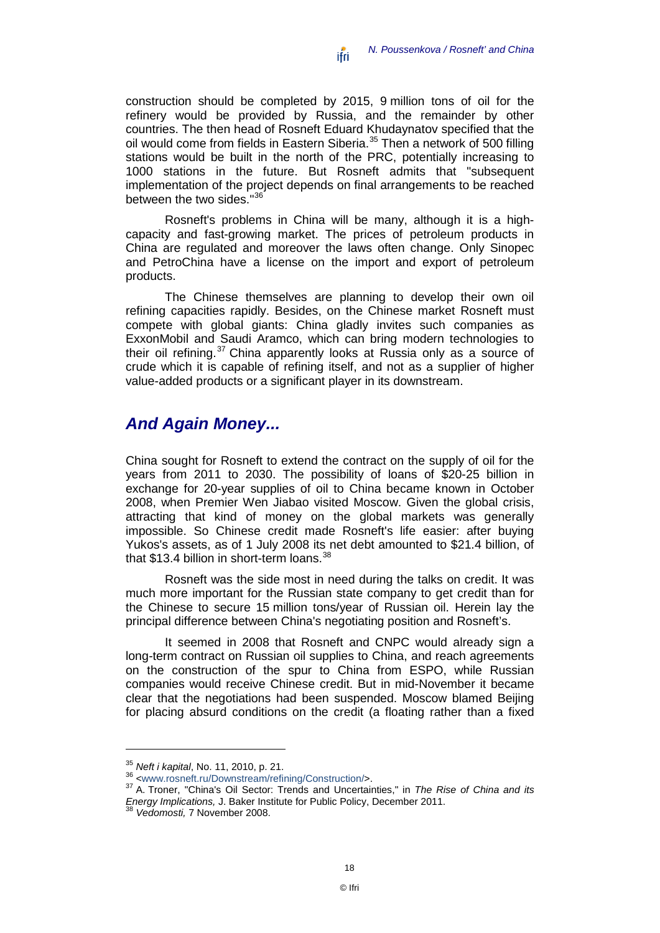construction should be completed by 2015, 9 million tons of oil for the refinery would be provided by Russia, and the remainder by other countries. The then head of Rosneft Eduard Khudaynatov specified that the oil would come from fields in Eastern Siberia.[35](#page-19-1) Then a network of 500 filling stations would be built in the north of the PRC, potentially increasing to 1000 stations in the future. But Rosneft admits that "subsequent implementation of the project depends on final arrangements to be reached between the two sides."<sup>[36](#page-19-2)</sup>

Rosneft's problems in China will be many, although it is a highcapacity and fast-growing market. The prices of petroleum products in China are regulated and moreover the laws often change. Only Sinopec and PetroChina have a license on the import and export of petroleum products.

The Chinese themselves are planning to develop their own oil refining capacities rapidly. Besides, on the Chinese market Rosneft must compete with global giants: China gladly invites such companies as ExxonMobil and Saudi Aramco, which can bring modern technologies to their oil refining.<sup>[37](#page-19-3)</sup> China apparently looks at Russia only as a source of crude which it is capable of refining itself, and not as a supplier of higher value-added products or a significant player in its downstream.

#### <span id="page-19-0"></span>*And Again Money...*

China sought for Rosneft to extend the contract on the supply of oil for the years from 2011 to 2030. The possibility of loans of \$20-25 billion in exchange for 20-year supplies of oil to China became known in October 2008, when Premier Wen Jiabao visited Moscow. Given the global crisis, attracting that kind of money on the global markets was generally impossible. So Chinese credit made Rosneft's life easier: after buying Yukos's assets, as of 1 July 2008 its net debt amounted to \$21.4 billion, of that  $$13.4$  billion in short-term loans.<sup>[38](#page-19-4)</sup>

Rosneft was the side most in need during the talks on credit. It was much more important for the Russian state company to get credit than for the Chinese to secure 15 million tons/year of Russian oil. Herein lay the principal difference between China's negotiating position and Rosneft's.

It seemed in 2008 that Rosneft and CNPC would already sign a long-term contract on Russian oil supplies to China, and reach agreements on the construction of the spur to China from ESPO, while Russian companies would receive Chinese credit. But in mid-November it became clear that the negotiations had been suspended. Moscow blamed Beijing for placing absurd conditions on the credit (a floating rather than a fixed

<span id="page-19-3"></span><span id="page-19-2"></span>

<span id="page-19-1"></span><sup>&</sup>lt;sup>35</sup> *Neft i kapital*, No. 11, 2010, p. 21.<br><sup>36</sup> [<www.rosneft.ru/Downstream/refining/Construction/>](http://www.rosneft.ru/Downstream/refining/Construction/).<br><sup>37</sup> A. Troner, "China's Oil Sector: Trends and Uncertainties," in *The Rise of China and its Energy Implications,* J. Baker Institute for Public Policy, December 2011. <sup>38</sup> *Vedomosti,* <sup>7</sup> November 2008.

<span id="page-19-4"></span>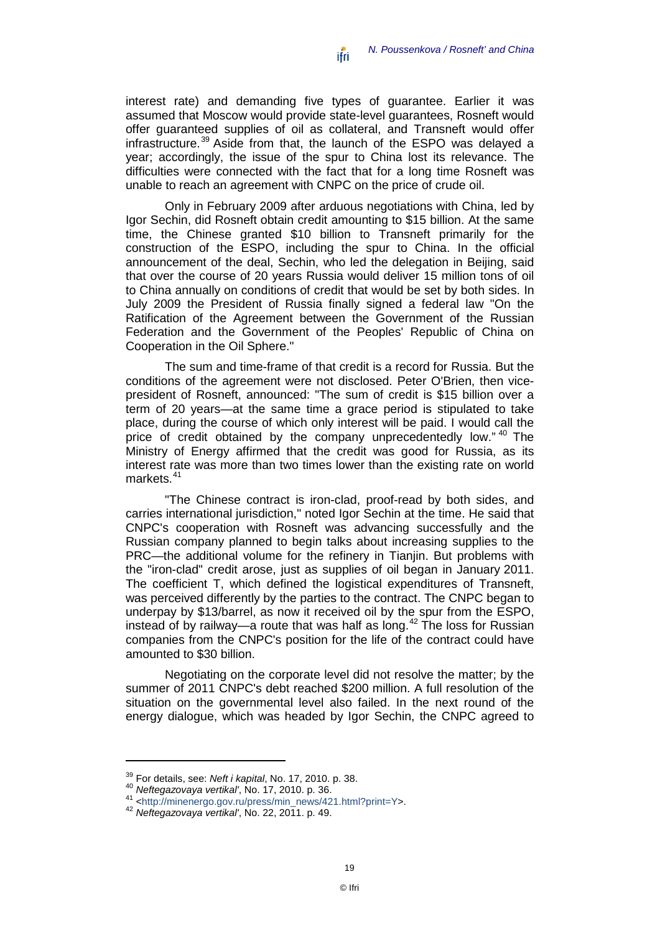interest rate) and demanding five types of guarantee. Earlier it was assumed that Moscow would provide state-level guarantees, Rosneft would offer guaranteed supplies of oil as collateral, and Transneft would offer infrastructure.<sup>[39](#page-20-0)</sup> Aside from that, the launch of the ESPO was delayed a year; accordingly, the issue of the spur to China lost its relevance. The difficulties were connected with the fact that for a long time Rosneft was unable to reach an agreement with CNPC on the price of crude oil.

Only in February 2009 after arduous negotiations with China, led by Igor Sechin, did Rosneft obtain credit amounting to \$15 billion. At the same time, the Chinese granted \$10 billion to Transneft primarily for the construction of the ESPO, including the spur to China. In the official announcement of the deal, Sechin, who led the delegation in Beijing, said that over the course of 20 years Russia would deliver 15 million tons of oil to China annually on conditions of credit that would be set by both sides. In July 2009 the President of Russia finally signed a federal law "On the Ratification of the Agreement between the Government of the Russian Federation and the Government of the Peoples' Republic of China on Cooperation in the Oil Sphere."

The sum and time-frame of that credit is a record for Russia. But the conditions of the agreement were not disclosed. Peter O'Brien, then vicepresident of Rosneft, announced: "The sum of credit is \$15 billion over a term of 20 years—at the same time a grace period is stipulated to take place, during the course of which only interest will be paid. I would call the price of credit obtained by the company unprecedentedly low."<sup>[40](#page-20-1)</sup> The Ministry of Energy affirmed that the credit was good for Russia, as its interest rate was more than two times lower than the existing rate on world markets.<sup>[41](#page-20-2)</sup>

"The Chinese contract is iron-clad, proof-read by both sides, and carries international jurisdiction," noted Igor Sechin at the time. He said that CNPC's cooperation with Rosneft was advancing successfully and the Russian company planned to begin talks about increasing supplies to the PRC—the additional volume for the refinery in Tianjin. But problems with the "iron-clad" credit arose, just as supplies of oil began in January 2011. The coefficient T, which defined the logistical expenditures of Transneft, was perceived differently by the parties to the contract. The CNPC began to underpay by \$13/barrel, as now it received oil by the spur from the ESPO, instead of by railway—a route that was half as long.<sup>[42](#page-20-3)</sup> The loss for Russian companies from the CNPC's position for the life of the contract could have amounted to \$30 billion.

Negotiating on the corporate level did not resolve the matter; by the summer of 2011 CNPC's debt reached \$200 million. A full resolution of the situation on the governmental level also failed. In the next round of the energy dialogue, which was headed by Igor Sechin, the CNPC agreed to

<span id="page-20-2"></span><span id="page-20-1"></span>

<span id="page-20-0"></span><sup>&</sup>lt;sup>39</sup> For details, see: *Neft i kapital*, No. 17, 2010. p. 38.<br><sup>40</sup> Neftegazovaya vertikal', No. 17, 2010. p. 36.<br><sup>41</sup> [<http://minenergo.gov.ru/press/min\\_news/421.html?print=Y>](http://minenergo.gov.ru/press/min_news/421.html?print=Y).<br><sup>42</sup> Neftegazovaya vertikal', No. 22, 2011.

<span id="page-20-3"></span>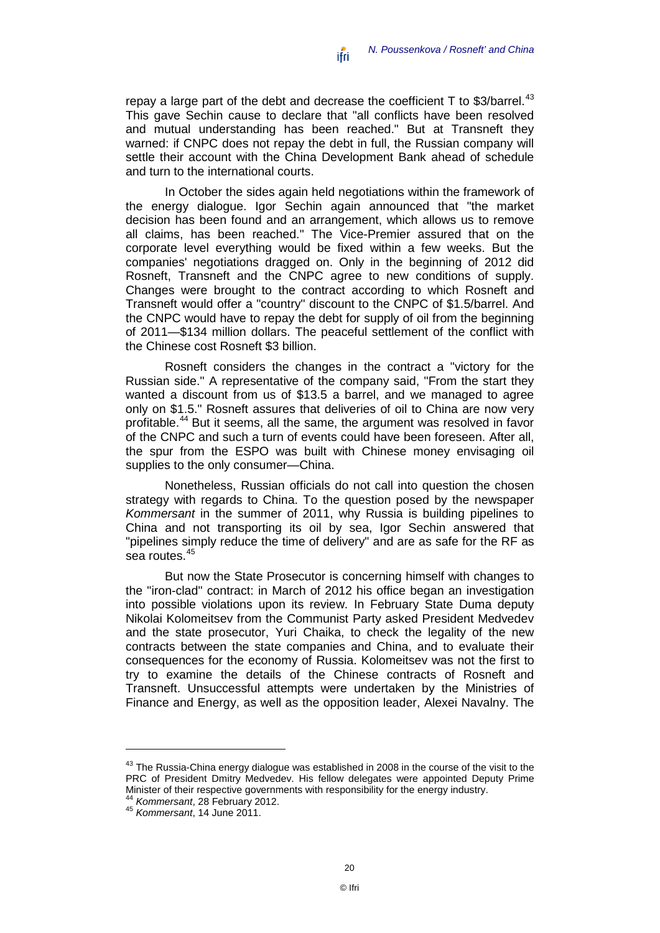repay a large part of the debt and decrease the coefficient  $T$  to \$3/barrel.<sup>[43](#page-21-0)</sup> This gave Sechin cause to declare that "all conflicts have been resolved and mutual understanding has been reached." But at Transneft they warned: if CNPC does not repay the debt in full, the Russian company will settle their account with the China Development Bank ahead of schedule and turn to the international courts.

In October the sides again held negotiations within the framework of the energy dialogue. Igor Sechin again announced that "the market decision has been found and an arrangement, which allows us to remove all claims, has been reached." The Vice-Premier assured that on the corporate level everything would be fixed within a few weeks. But the companies' negotiations dragged on. Only in the beginning of 2012 did Rosneft, Transneft and the CNPC agree to new conditions of supply. Changes were brought to the contract according to which Rosneft and Transneft would offer a "country" discount to the CNPC of \$1.5/barrel. And the CNPC would have to repay the debt for supply of oil from the beginning of 2011—\$134 million dollars. The peaceful settlement of the conflict with the Chinese cost Rosneft \$3 billion.

Rosneft considers the changes in the contract a "victory for the Russian side." A representative of the company said, "From the start they wanted a discount from us of \$13.5 a barrel, and we managed to agree only on \$1.5." Rosneft assures that deliveries of oil to China are now very profitable.<sup>[44](#page-21-1)</sup> But it seems, all the same, the argument was resolved in favor of the CNPC and such a turn of events could have been foreseen. After all, the spur from the ESPO was built with Chinese money envisaging oil supplies to the only consumer—China.

Nonetheless, Russian officials do not call into question the chosen strategy with regards to China. To the question posed by the newspaper *Kommersant* in the summer of 2011, why Russia is building pipelines to China and not transporting its oil by sea. Igor Sechin answered that "pipelines simply reduce the time of delivery" and are as safe for the RF as sea routes. [45](#page-21-2)

But now the State Prosecutor is concerning himself with changes to the "iron-clad" contract: in March of 2012 his office began an investigation into possible violations upon its review. In February State Duma deputy Nikolai Kolomeitsev from the Communist Party asked President Medvedev and the state prosecutor, Yuri Chaika, to check the legality of the new contracts between the state companies and China, and to evaluate their consequences for the economy of Russia. Kolomeitsev was not the first to try to examine the details of the Chinese contracts of Rosneft and Transneft. Unsuccessful attempts were undertaken by the Ministries of Finance and Energy, as well as the opposition leader, Alexei Navalny. The

<span id="page-21-0"></span><sup>43</sup> The Russia-China energy dialogue was established in 2008 in the course of the visit to the PRC of President Dmitry Medvedev. His fellow delegates were appointed Deputy Prime Minister of their respective governments with responsibility for the energy industry.<br><sup>44</sup> Kommersant, 28 February 2012.

<span id="page-21-2"></span><span id="page-21-1"></span><sup>44</sup> *Kommersant*, 28 February 2012. <sup>45</sup> *Kommersant*, 14 June 2011.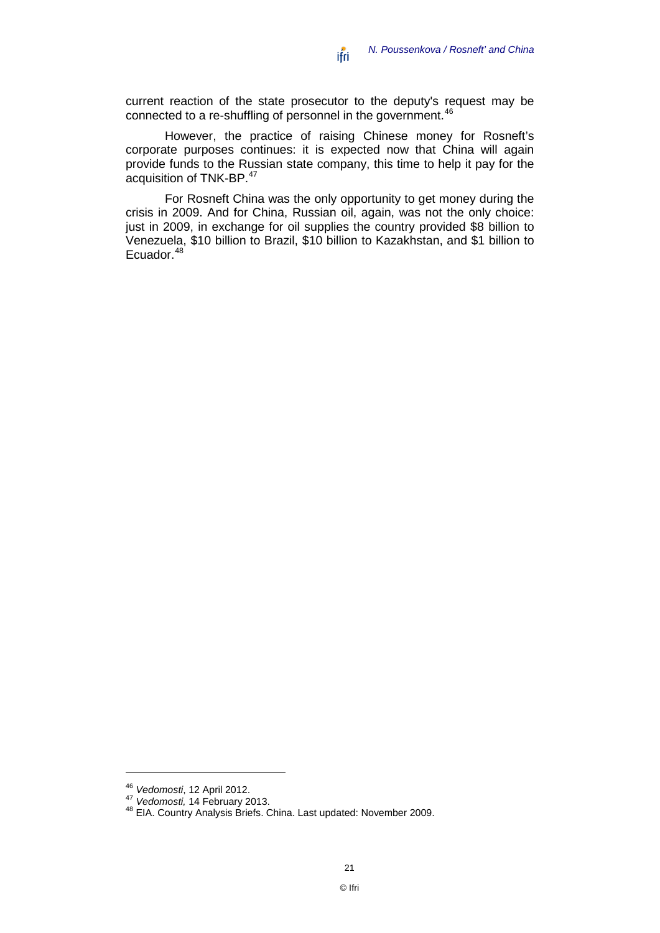current reaction of the state prosecutor to the deputy's request may be connected to a re-shuffling of personnel in the government.<sup>[46](#page-22-0)</sup>

However, the practice of raising Chinese money for Rosneft's corporate purposes continues: it is expected now that China will again provide funds to the Russian state company, this time to help it pay for the acquisition of TNK-BP.<sup>[47](#page-22-1)</sup>

For Rosneft China was the only opportunity to get money during the crisis in 2009. And for China, Russian oil, again, was not the only choice: just in 2009, in exchange for oil supplies the country provided \$8 billion to Venezuela, \$10 billion to Brazil, \$10 billion to Kazakhstan, and \$1 billion to Ecuador.<sup>[48](#page-22-2)</sup>

<span id="page-22-2"></span>

<span id="page-22-1"></span><span id="page-22-0"></span><sup>&</sup>lt;sup>46</sup> *Vedomosti*, 12 April 2012.<br><sup>47</sup> *Vedomosti,* 14 February 2013.<br><sup>48</sup> EIA. Country Analysis Briefs. China. Last updated: November 2009.